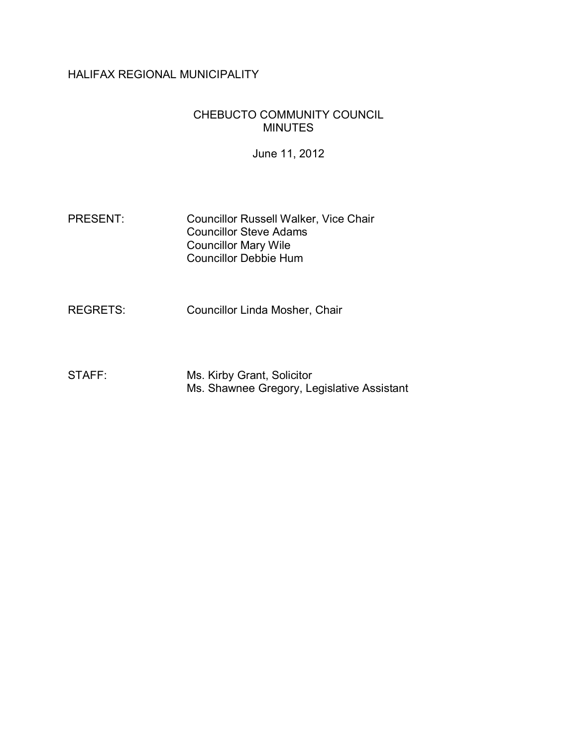# HALIFAX REGIONAL MUNICIPALITY

# CHEBUCTO COMMUNITY COUNCIL MINUTES

June 11, 2012

- PRESENT: Councillor Russell Walker, Vice Chair Councillor Steve Adams Councillor Mary Wile Councillor Debbie Hum
- REGRETS: Councillor Linda Mosher, Chair
- STAFF: Ms. Kirby Grant, Solicitor Ms. Shawnee Gregory, Legislative Assistant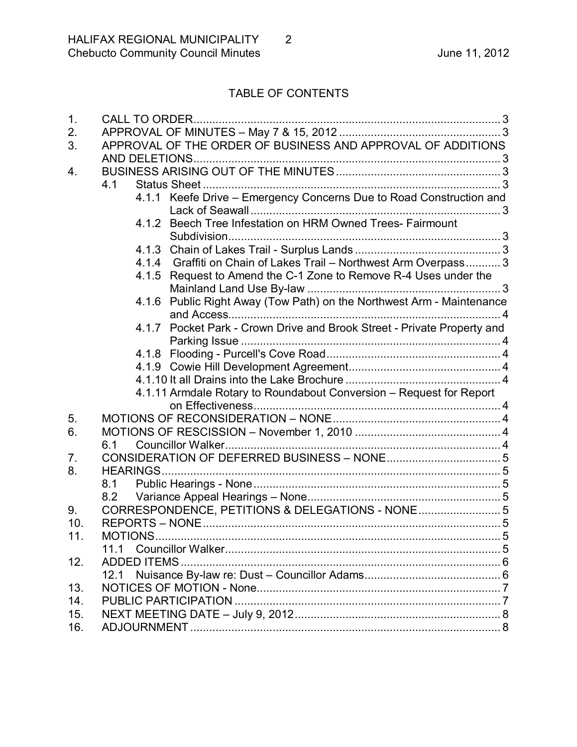# TABLE OF CONTENTS

| 1.  | CALL TO ORDER.                                                          |
|-----|-------------------------------------------------------------------------|
| 2.  |                                                                         |
| 3.  | APPROVAL OF THE ORDER OF BUSINESS AND APPROVAL OF ADDITIONS             |
|     |                                                                         |
| 4.  |                                                                         |
|     | 4.1                                                                     |
|     | 4.1.1 Keefe Drive - Emergency Concerns Due to Road Construction and     |
|     |                                                                         |
|     | 4.1.2 Beech Tree Infestation on HRM Owned Trees- Fairmount              |
|     |                                                                         |
|     |                                                                         |
|     | 4.1.4 Graffiti on Chain of Lakes Trail - Northwest Arm Overpass 3       |
|     | 4.1.5 Request to Amend the C-1 Zone to Remove R-4 Uses under the        |
|     |                                                                         |
|     | 4.1.6 Public Right Away (Tow Path) on the Northwest Arm - Maintenance   |
|     |                                                                         |
|     | 4.1.7 Pocket Park - Crown Drive and Brook Street - Private Property and |
|     |                                                                         |
|     |                                                                         |
|     |                                                                         |
|     |                                                                         |
|     | 4.1.11 Armdale Rotary to Roundabout Conversion - Request for Report     |
|     |                                                                         |
| 5.  |                                                                         |
| 6.  |                                                                         |
|     | 6.1                                                                     |
|     |                                                                         |
| 7.  |                                                                         |
| 8.  |                                                                         |
|     | 8.1                                                                     |
|     |                                                                         |
| 9.  | CORRESPONDENCE, PETITIONS & DELEGATIONS - NONE 5                        |
| 10. |                                                                         |
| 11. | MOTIONS                                                                 |
|     | 11 1                                                                    |
| 12. | ADDED ITEMS.                                                            |
|     |                                                                         |
| 13. |                                                                         |
| 14. |                                                                         |
| 15. |                                                                         |
| 16. |                                                                         |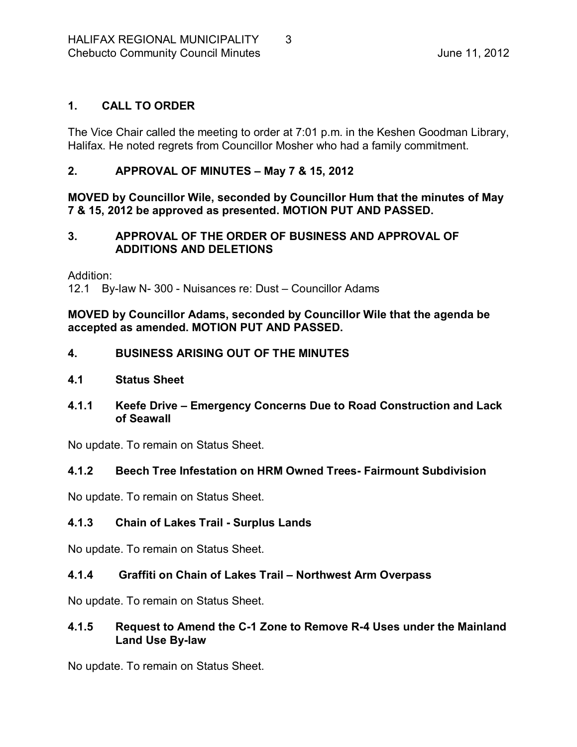# <span id="page-2-0"></span>**1. CALL TO ORDER**

The Vice Chair called the meeting to order at 7:01 p.m. in the Keshen Goodman Library, Halifax. He noted regrets from Councillor Mosher who had a family commitment.

# <span id="page-2-1"></span>**2. APPROVAL OF MINUTES – May 7 & 15, 2012**

**MOVED by Councillor Wile, seconded by Councillor Hum that the minutes of May 7 & 15, 2012 be approved as presented. MOTION PUT AND PASSED.** 

### <span id="page-2-2"></span>**3. APPROVAL OF THE ORDER OF BUSINESS AND APPROVAL OF ADDITIONS AND DELETIONS**

Addition:

12.1 By-law N-300 - Nuisances re: Dust – Councillor Adams

**MOVED by Councillor Adams, seconded by Councillor Wile that the agenda be accepted as amended. MOTION PUT AND PASSED.** 

# <span id="page-2-3"></span>**4. BUSINESS ARISING OUT OF THE MINUTES**

- <span id="page-2-4"></span>**4.1 Status Sheet**
- <span id="page-2-5"></span>**4.1.1 Keefe Drive – Emergency Concerns Due to Road Construction and Lack of Seawall**

No update. To remain on Status Sheet.

# <span id="page-2-6"></span>**4.1.2 Beech Tree Infestation on HRM Owned Trees Fairmount Subdivision**

No update. To remain on Status Sheet.

# <span id="page-2-7"></span>**4.1.3 Chain of Lakes Trail Surplus Lands**

No update. To remain on Status Sheet.

# <span id="page-2-8"></span>**4.1.4 Graffiti on Chain of Lakes Trail – Northwest Arm Overpass**

No update. To remain on Status Sheet.

### <span id="page-2-9"></span>**4.1.5 Request to Amend the C1 Zone to Remove R4 Uses under the Mainland Land Use By-law**

No update. To remain on Status Sheet.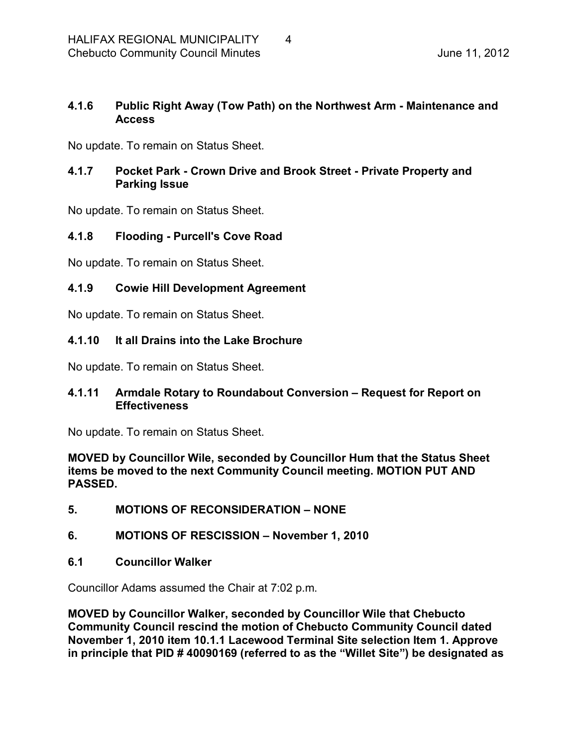# <span id="page-3-0"></span>**4.1.6 Public Right Away (Tow Path) on the Northwest Arm Maintenance and Access**

No update. To remain on Status Sheet.

# <span id="page-3-1"></span>**4.1.7 Pocket Park Crown Drive and Brook Street Private Property and Parking Issue**

No update. To remain on Status Sheet.

# <span id="page-3-2"></span>**4.1.8 Flooding Purcell's Cove Road**

No update. To remain on Status Sheet.

# <span id="page-3-3"></span>**4.1.9 Cowie Hill Development Agreement**

No update. To remain on Status Sheet.

# <span id="page-3-4"></span>**4.1.10 It all Drains into the Lake Brochure**

No update. To remain on Status Sheet.

# <span id="page-3-5"></span>**4.1.11 Armdale Rotary to Roundabout Conversion – Request for Report on Effectiveness**

No update. To remain on Status Sheet.

**MOVED by Councillor Wile, seconded by Councillor Hum that the Status Sheet items be moved to the next Community Council meeting. MOTION PUT AND PASSED.** 

- <span id="page-3-6"></span>**5. MOTIONS OF RECONSIDERATION – NONE**
- <span id="page-3-7"></span>**6. MOTIONS OF RESCISSION – November 1, 2010**
- <span id="page-3-8"></span>**6.1 Councillor Walker**

Councillor Adams assumed the Chair at 7:02 p.m.

**MOVED by Councillor Walker, seconded by Councillor Wile that Chebucto Community Council rescind the motion of Chebucto Community Council dated November 1, 2010 item 10.1.1 Lacewood Terminal Site selection Item 1. Approve in principle that PID # 40090169 (referred to as the "Willet Site") be designated as**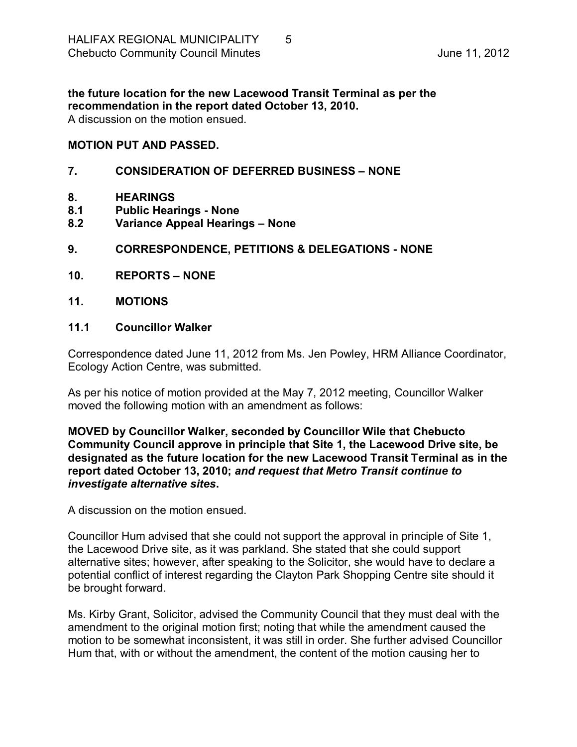**the future location for the new Lacewood Transit Terminal as per the recommendation in the report dated October 13, 2010.** A discussion on the motion ensued.

### **MOTION PUT AND PASSED.**

### <span id="page-4-0"></span>**7. CONSIDERATION OF DEFERRED BUSINESS – NONE**

- <span id="page-4-1"></span>**8. HEARINGS**
- <span id="page-4-2"></span>**8.1 Public Hearings None**
- <span id="page-4-3"></span>**8.2 Variance Appeal Hearings – None**
- <span id="page-4-4"></span>**9. CORRESPONDENCE, PETITIONS & DELEGATIONS NONE**
- <span id="page-4-5"></span>**10. REPORTS – NONE**
- <span id="page-4-6"></span>**11. MOTIONS**

### <span id="page-4-7"></span>**11.1 Councillor Walker**

Correspondence dated June 11, 2012 from Ms. Jen Powley, HRM Alliance Coordinator, Ecology Action Centre, was submitted.

As per his notice of motion provided at the May 7, 2012 meeting, Councillor Walker moved the following motion with an amendment as follows:

**MOVED by Councillor Walker, seconded by Councillor Wile that Chebucto Community Council approve in principle that Site 1, the Lacewood Drive site, be designated as the future location for the new Lacewood Transit Terminal as in the report dated October 13, 2010;** *and request that Metro Transit continue to investigate alternative sites***.**

A discussion on the motion ensued.

Councillor Hum advised that she could not support the approval in principle of Site 1, the Lacewood Drive site, as it was parkland. She stated that she could support alternative sites; however, after speaking to the Solicitor, she would have to declare a potential conflict of interest regarding the Clayton Park Shopping Centre site should it be brought forward.

Ms. Kirby Grant, Solicitor, advised the Community Council that they must deal with the amendment to the original motion first; noting that while the amendment caused the motion to be somewhat inconsistent, it was still in order. She further advised Councillor Hum that, with or without the amendment, the content of the motion causing her to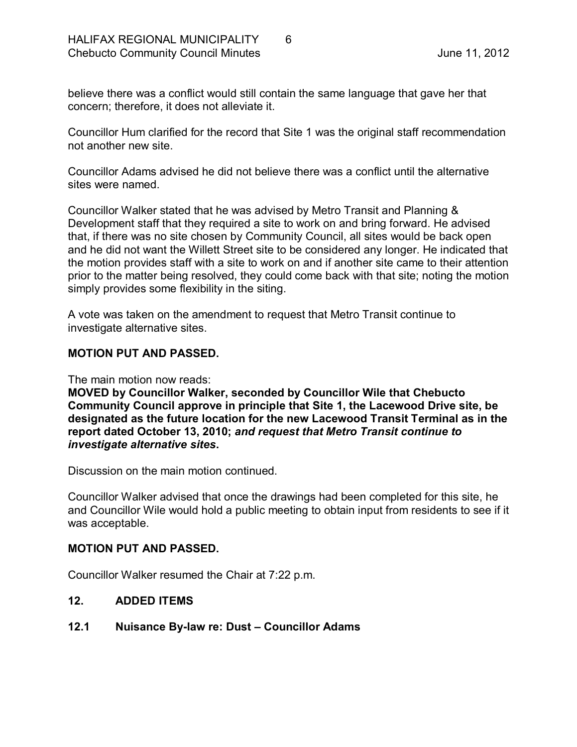believe there was a conflict would still contain the same language that gave her that concern; therefore, it does not alleviate it.

Councillor Hum clarified for the record that Site 1 was the original staff recommendation not another new site.

Councillor Adams advised he did not believe there was a conflict until the alternative sites were named.

Councillor Walker stated that he was advised by Metro Transit and Planning & Development staff that they required a site to work on and bring forward. He advised that, if there was no site chosen by Community Council, all sites would be back open and he did not want the Willett Street site to be considered any longer. He indicated that the motion provides staff with a site to work on and if another site came to their attention prior to the matter being resolved, they could come back with that site; noting the motion simply provides some flexibility in the siting.

A vote was taken on the amendment to request that Metro Transit continue to investigate alternative sites.

### **MOTION PUT AND PASSED.**

The main motion now reads:

**MOVED by Councillor Walker, seconded by Councillor Wile that Chebucto Community Council approve in principle that Site 1, the Lacewood Drive site, be designated as the future location for the new Lacewood Transit Terminal as in the report dated October 13, 2010;** *and request that Metro Transit continue to investigate alternative sites***.**

Discussion on the main motion continued.

Councillor Walker advised that once the drawings had been completed for this site, he and Councillor Wile would hold a public meeting to obtain input from residents to see if it was acceptable.

#### **MOTION PUT AND PASSED.**

Councillor Walker resumed the Chair at 7:22 p.m.

# <span id="page-5-0"></span>**12. ADDED ITEMS**

# <span id="page-5-1"></span>**12.1 Nuisance Bylaw re: Dust – Councillor Adams**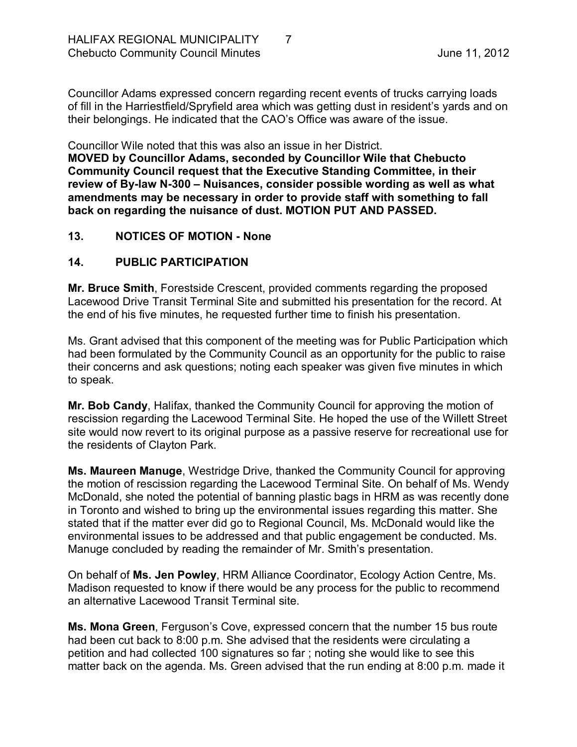Councillor Adams expressed concern regarding recent events of trucks carrying loads of fill in the Harriestfield/Spryfield area which was getting dust in resident's yards and on their belongings. He indicated that the CAO's Office was aware of the issue.

Councillor Wile noted that this was also an issue in her District.

**MOVED by Councillor Adams, seconded by Councillor Wile that Chebucto Community Council request that the Executive Standing Committee, in their review of Bylaw N300 – Nuisances, consider possible wording as well as what amendments may be necessary in order to provide staff with something to fall back on regarding the nuisance of dust. MOTION PUT AND PASSED.** 

### <span id="page-6-0"></span>**13. NOTICES OF MOTION None**

# <span id="page-6-1"></span>**14. PUBLIC PARTICIPATION**

**Mr. Bruce Smith**, Forestside Crescent, provided comments regarding the proposed Lacewood Drive Transit Terminal Site and submitted his presentation for the record. At the end of his five minutes, he requested further time to finish his presentation.

Ms. Grant advised that this component of the meeting was for Public Participation which had been formulated by the Community Council as an opportunity for the public to raise their concerns and ask questions; noting each speaker was given five minutes in which to speak.

**Mr. Bob Candy**, Halifax, thanked the Community Council for approving the motion of rescission regarding the Lacewood Terminal Site. He hoped the use of the Willett Street site would now revert to its original purpose as a passive reserve for recreational use for the residents of Clayton Park.

**Ms. Maureen Manuge**, Westridge Drive, thanked the Community Council for approving the motion of rescission regarding the Lacewood Terminal Site. On behalf of Ms. Wendy McDonald, she noted the potential of banning plastic bags in HRM as was recently done in Toronto and wished to bring up the environmental issues regarding this matter. She stated that if the matter ever did go to Regional Council, Ms. McDonald would like the environmental issues to be addressed and that public engagement be conducted. Ms. Manuge concluded by reading the remainder of Mr. Smith's presentation.

On behalf of **Ms. Jen Powley**, HRM Alliance Coordinator, Ecology Action Centre, Ms. Madison requested to know if there would be any process for the public to recommend an alternative Lacewood Transit Terminal site.

**Ms. Mona Green**, Ferguson's Cove, expressed concern that the number 15 bus route had been cut back to 8:00 p.m. She advised that the residents were circulating a petition and had collected 100 signatures so far ; noting she would like to see this matter back on the agenda. Ms. Green advised that the run ending at 8:00 p.m. made it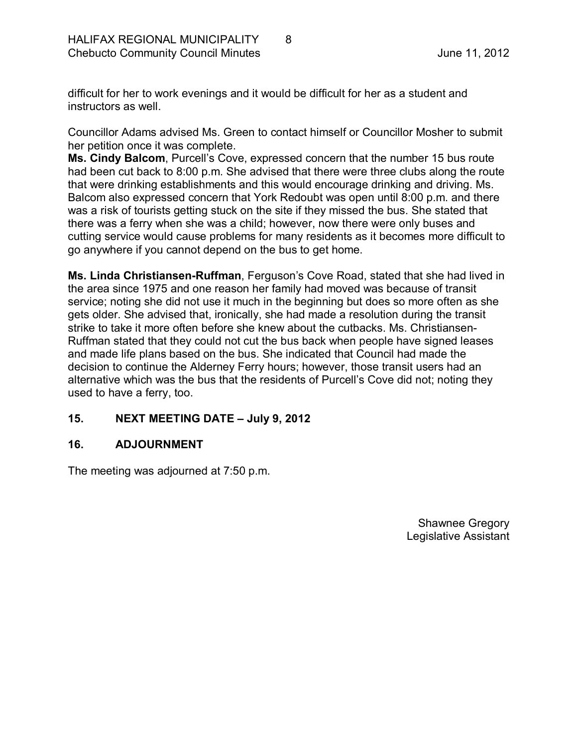difficult for her to work evenings and it would be difficult for her as a student and instructors as well.

Councillor Adams advised Ms. Green to contact himself or Councillor Mosher to submit her petition once it was complete.

**Ms. Cindy Balcom**, Purcell's Cove, expressed concern that the number 15 bus route had been cut back to 8:00 p.m. She advised that there were three clubs along the route that were drinking establishments and this would encourage drinking and driving. Ms. Balcom also expressed concern that York Redoubt was open until 8:00 p.m. and there was a risk of tourists getting stuck on the site if they missed the bus. She stated that there was a ferry when she was a child; however, now there were only buses and cutting service would cause problems for many residents as it becomes more difficult to go anywhere if you cannot depend on the bus to get home.

**Ms. Linda Christiansen-Ruffman, Ferguson's Cove Road, stated that she had lived in** the area since 1975 and one reason her family had moved was because of transit service; noting she did not use it much in the beginning but does so more often as she gets older. She advised that, ironically, she had made a resolution during the transit strike to take it more often before she knew about the cutbacks. Ms. Christiansen-Ruffman stated that they could not cut the bus back when people have signed leases and made life plans based on the bus. She indicated that Council had made the decision to continue the Alderney Ferry hours; however, those transit users had an alternative which was the bus that the residents of Purcell's Cove did not; noting they used to have a ferry, too.

# <span id="page-7-0"></span>**15. NEXT MEETING DATE – July 9, 2012**

# <span id="page-7-1"></span>**16. ADJOURNMENT**

The meeting was adjourned at 7:50 p.m.

Shawnee Gregory Legislative Assistant